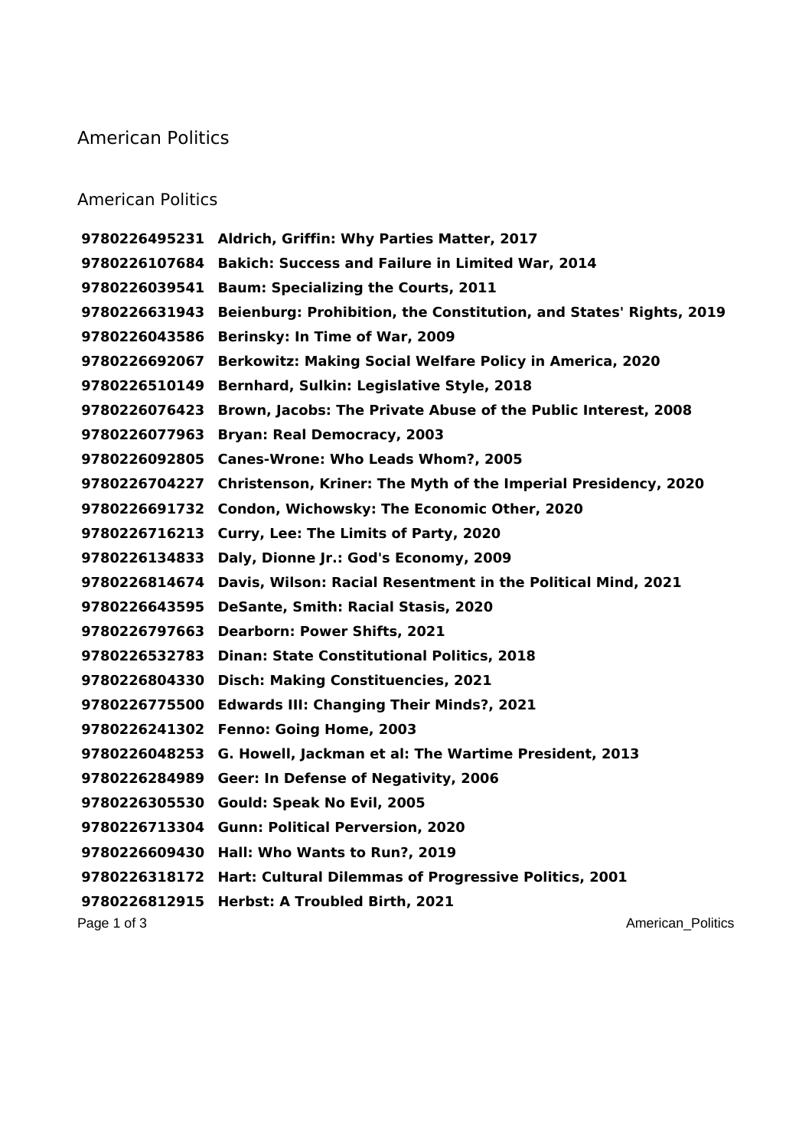## American Politics

## American Politics

 **Aldrich, Griffin: Why Parties Matter, 2017 Bakich: Success and Failure in Limited War, 2014 Baum: Specializing the Courts, 2011 Beienburg: Prohibition, the Constitution, and States' Rights, 2019 Berinsky: In Time of War, 2009 Berkowitz: Making Social Welfare Policy in America, 2020 Bernhard, Sulkin: Legislative Style, 2018 Brown, Jacobs: The Private Abuse of the Public Interest, 2008 Bryan: Real Democracy, 2003 Canes-Wrone: Who Leads Whom?, 2005 Christenson, Kriner: The Myth of the Imperial Presidency, 2020 Condon, Wichowsky: The Economic Other, 2020 Curry, Lee: The Limits of Party, 2020 Daly, Dionne Jr.: God's Economy, 2009 Davis, Wilson: Racial Resentment in the Political Mind, 2021 DeSante, Smith: Racial Stasis, 2020 Dearborn: Power Shifts, 2021 Dinan: State Constitutional Politics, 2018 Disch: Making Constituencies, 2021 Edwards III: Changing Their Minds?, 2021 Fenno: Going Home, 2003 G. Howell, Jackman et al: The Wartime President, 2013 Geer: In Defense of Negativity, 2006 Gould: Speak No Evil, 2005 Gunn: Political Perversion, 2020 Hall: Who Wants to Run?, 2019 Hart: Cultural Dilemmas of Progressive Politics, 2001 Herbst: A Troubled Birth, 2021**

Page 1 of 3 American\_Politics and  $\overline{P}$  and  $\overline{P}$  and  $\overline{P}$  and  $\overline{P}$  and  $\overline{P}$  and  $\overline{P}$  and  $\overline{P}$  and  $\overline{P}$  and  $\overline{P}$  and  $\overline{P}$  and  $\overline{P}$  and  $\overline{P}$  and  $\overline{P}$  and  $\overline{P}$  and  $\overline{P$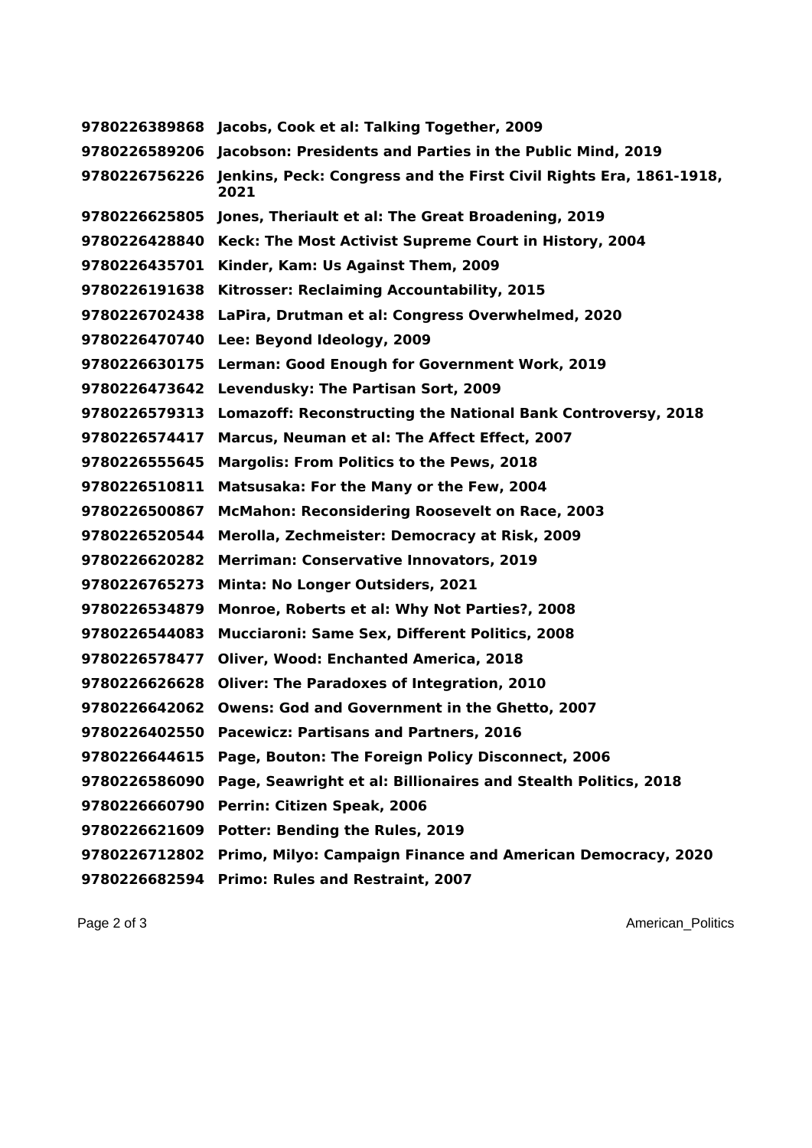**Jacobs, Cook et al: Talking Together, 2009 Jacobson: Presidents and Parties in the Public Mind, 2019 Jenkins, Peck: Congress and the First Civil Rights Era, 1861-1918, Jones, Theriault et al: The Great Broadening, 2019 Keck: The Most Activist Supreme Court in History, 2004 Kinder, Kam: Us Against Them, 2009 Kitrosser: Reclaiming Accountability, 2015 LaPira, Drutman et al: Congress Overwhelmed, 2020 Lee: Beyond Ideology, 2009 Lerman: Good Enough for Government Work, 2019 Levendusky: The Partisan Sort, 2009 Lomazoff: Reconstructing the National Bank Controversy, 2018 Marcus, Neuman et al: The Affect Effect, 2007 Margolis: From Politics to the Pews, 2018 Matsusaka: For the Many or the Few, 2004 McMahon: Reconsidering Roosevelt on Race, 2003 Merolla, Zechmeister: Democracy at Risk, 2009 Merriman: Conservative Innovators, 2019 Minta: No Longer Outsiders, 2021 Monroe, Roberts et al: Why Not Parties?, 2008 Mucciaroni: Same Sex, Different Politics, 2008 Oliver, Wood: Enchanted America, 2018 Oliver: The Paradoxes of Integration, 2010 Owens: God and Government in the Ghetto, 2007 Pacewicz: Partisans and Partners, 2016 Page, Bouton: The Foreign Policy Disconnect, 2006 Page, Seawright et al: Billionaires and Stealth Politics, 2018 Perrin: Citizen Speak, 2006 Potter: Bending the Rules, 2019 Primo, Milyo: Campaign Finance and American Democracy, 2020 Primo: Rules and Restraint, 2007**

Page 2 of 3 American\_Politics and  $\overline{P}$  and  $\overline{P}$  and  $\overline{P}$  and  $\overline{P}$  and  $\overline{P}$  and  $\overline{P}$  and  $\overline{P}$  and  $\overline{P}$  and  $\overline{P}$  and  $\overline{P}$  and  $\overline{P}$  and  $\overline{P}$  and  $\overline{P}$  and  $\overline{P}$  and  $\overline{P$